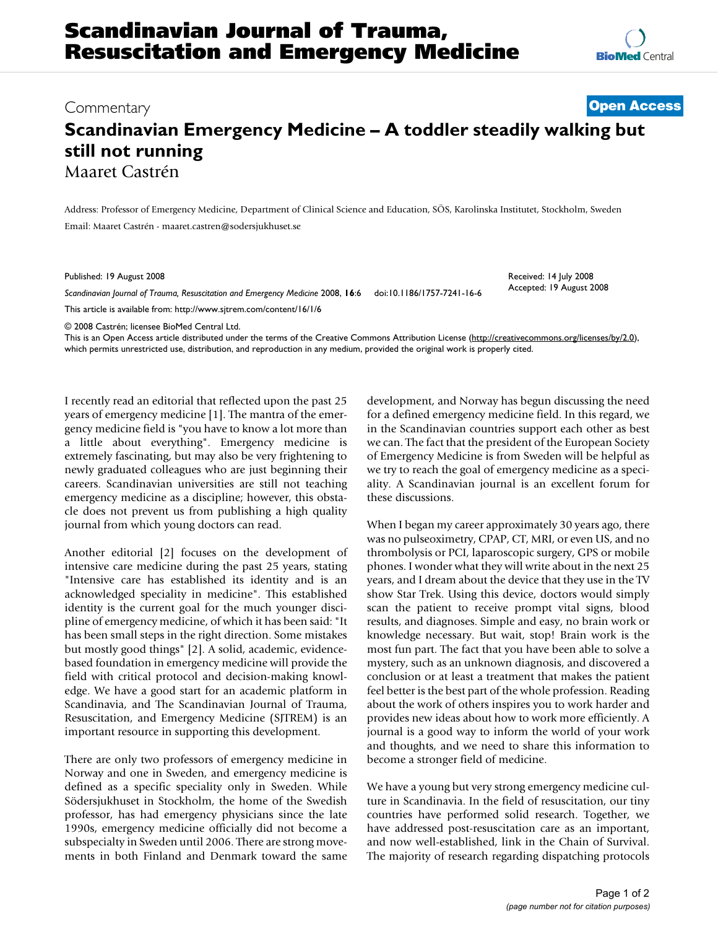## Commentary **[Open Access](http://www.biomedcentral.com/info/about/charter/)**

## **Scandinavian Emergency Medicine – A toddler steadily walking but still not running** Maaret Castrén

Address: Professor of Emergency Medicine, Department of Clinical Science and Education, SÖS, Karolinska Institutet, Stockholm, Sweden Email: Maaret Castrén - maaret.castren@sodersjukhuset.se

Published: 19 August 2008

*Scandinavian Journal of Trauma, Resuscitation and Emergency Medicine* 2008, **16**:6 doi:10.1186/1757-7241-16-6

[This article is available from: http://www.sjtrem.com/content/16/1/6](http://www.sjtrem.com/content/16/1/6)

Received: 14 July 2008 Accepted: 19 August 2008

© 2008 Castrén; licensee BioMed Central Ltd.

This is an Open Access article distributed under the terms of the Creative Commons Attribution License [\(http://creativecommons.org/licenses/by/2.0\)](http://creativecommons.org/licenses/by/2.0), which permits unrestricted use, distribution, and reproduction in any medium, provided the original work is properly cited.

I recently read an editorial that reflected upon the past 25 years of emergency medicine [1]. The mantra of the emergency medicine field is "you have to know a lot more than a little about everything". Emergency medicine is extremely fascinating, but may also be very frightening to newly graduated colleagues who are just beginning their careers. Scandinavian universities are still not teaching emergency medicine as a discipline; however, this obstacle does not prevent us from publishing a high quality journal from which young doctors can read.

Another editorial [2] focuses on the development of intensive care medicine during the past 25 years, stating "Intensive care has established its identity and is an acknowledged speciality in medicine". This established identity is the current goal for the much younger discipline of emergency medicine, of which it has been said: "It has been small steps in the right direction. Some mistakes but mostly good things" [2]. A solid, academic, evidencebased foundation in emergency medicine will provide the field with critical protocol and decision-making knowledge. We have a good start for an academic platform in Scandinavia, and The Scandinavian Journal of Trauma, Resuscitation, and Emergency Medicine (SJTREM) is an important resource in supporting this development.

There are only two professors of emergency medicine in Norway and one in Sweden, and emergency medicine is defined as a specific speciality only in Sweden. While Södersjukhuset in Stockholm, the home of the Swedish professor, has had emergency physicians since the late 1990s, emergency medicine officially did not become a subspecialty in Sweden until 2006. There are strong movements in both Finland and Denmark toward the same development, and Norway has begun discussing the need for a defined emergency medicine field. In this regard, we in the Scandinavian countries support each other as best we can. The fact that the president of the European Society of Emergency Medicine is from Sweden will be helpful as we try to reach the goal of emergency medicine as a speciality. A Scandinavian journal is an excellent forum for these discussions.

When I began my career approximately 30 years ago, there was no pulseoximetry, CPAP, CT, MRI, or even US, and no thrombolysis or PCI, laparoscopic surgery, GPS or mobile phones. I wonder what they will write about in the next 25 years, and I dream about the device that they use in the TV show Star Trek. Using this device, doctors would simply scan the patient to receive prompt vital signs, blood results, and diagnoses. Simple and easy, no brain work or knowledge necessary. But wait, stop! Brain work is the most fun part. The fact that you have been able to solve a mystery, such as an unknown diagnosis, and discovered a conclusion or at least a treatment that makes the patient feel better is the best part of the whole profession. Reading about the work of others inspires you to work harder and provides new ideas about how to work more efficiently. A journal is a good way to inform the world of your work and thoughts, and we need to share this information to become a stronger field of medicine.

We have a young but very strong emergency medicine culture in Scandinavia. In the field of resuscitation, our tiny countries have performed solid research. Together, we have addressed post-resuscitation care as an important, and now well-established, link in the Chain of Survival. The majority of research regarding dispatching protocols